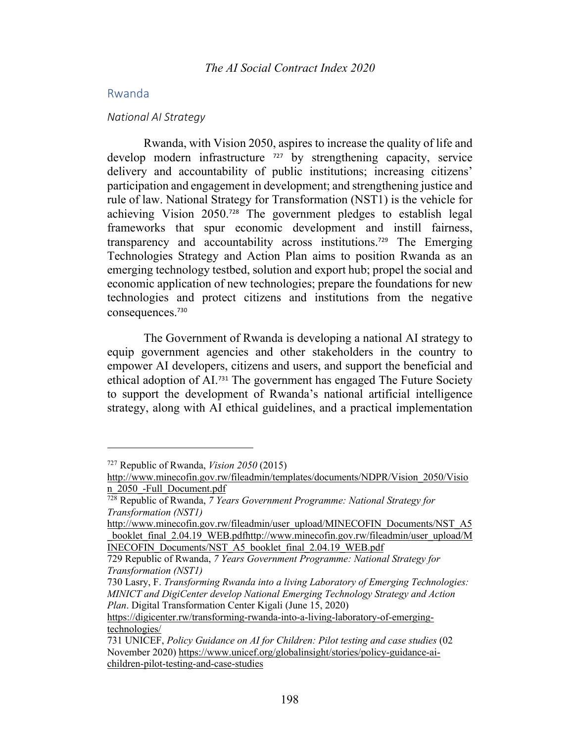# Rwanda

#### *National AI Strategy*

Rwanda, with Vision 2050, aspires to increase the quality of life and develop modern infrastructure <sup>727</sup> by strengthening capacity, service delivery and accountability of public institutions; increasing citizens' participation and engagement in development; and strengthening justice and rule of law. National Strategy for Transformation (NST1) is the vehicle for achieving Vision 2050. <sup>728</sup> The government pledges to establish legal frameworks that spur economic development and instill fairness, transparency and accountability across institutions.<sup>729</sup> The Emerging Technologies Strategy and Action Plan aims to position Rwanda as an emerging technology testbed, solution and export hub; propel the social and economic application of new technologies; prepare the foundations for new technologies and protect citizens and institutions from the negative consequences.<sup>730</sup>

The Government of Rwanda is developing a national AI strategy to equip government agencies and other stakeholders in the country to empower AI developers, citizens and users, and support the beneficial and ethical adoption of AI.<sup>731</sup> The government has engaged The Future Society to support the development of Rwanda's national artificial intelligence strategy, along with AI ethical guidelines, and a practical implementation

<sup>727</sup> Republic of Rwanda, *Vision 2050* (2015)

http://www.minecofin.gov.rw/fileadmin/templates/documents/NDPR/Vision\_2050/Visio n 2050 -Full Document.pdf

<sup>728</sup> Republic of Rwanda, *7 Years Government Programme: National Strategy for Transformation (NST1)* 

http://www.minecofin.gov.rw/fileadmin/user\_upload/MINECOFIN\_Documents/NST\_A5 booklet final 2.04.19 WEB.pdfhttp://www.minecofin.gov.rw/fileadmin/user\_upload/M INECOFIN\_Documents/NST\_A5\_booklet\_final\_2.04.19\_WEB.pdf

<sup>729</sup> Republic of Rwanda, *7 Years Government Programme: National Strategy for Transformation (NST1)*

<sup>730</sup> Lasry, F. *Transforming Rwanda into a living Laboratory of Emerging Technologies: MINICT and DigiCenter develop National Emerging Technology Strategy and Action Plan*. Digital Transformation Center Kigali (June 15, 2020)

https://digicenter.rw/transforming-rwanda-into-a-living-laboratory-of-emergingtechnologies/

<sup>731</sup> UNICEF, *Policy Guidance on AI for Children: Pilot testing and case studies* (02 November 2020) https://www.unicef.org/globalinsight/stories/policy-guidance-aichildren-pilot-testing-and-case-studies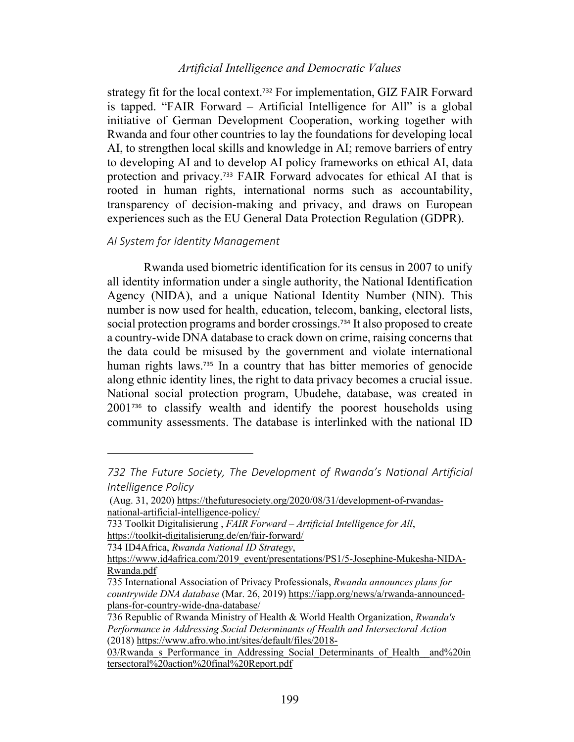# *Artificial Intelligence and Democratic Values*

strategy fit for the local context.<sup>732</sup> For implementation, GIZ FAIR Forward is tapped. "FAIR Forward – Artificial Intelligence for All" is a global initiative of German Development Cooperation, working together with Rwanda and four other countries to lay the foundations for developing local AI, to strengthen local skills and knowledge in AI; remove barriers of entry to developing AI and to develop AI policy frameworks on ethical AI, data protection and privacy.<sup>733</sup> FAIR Forward advocates for ethical AI that is rooted in human rights, international norms such as accountability, transparency of decision-making and privacy, and draws on European experiences such as the EU General Data Protection Regulation (GDPR).

### *AI System for Identity Management*

Rwanda used biometric identification for its census in 2007 to unify all identity information under a single authority, the National Identification Agency (NIDA), and a unique National Identity Number (NIN). This number is now used for health, education, telecom, banking, electoral lists, social protection programs and border crossings.<sup>734</sup> It also proposed to create a country-wide DNA database to crack down on crime, raising concerns that the data could be misused by the government and violate international human rights laws.<sup>735</sup> In a country that has bitter memories of genocide along ethnic identity lines, the right to data privacy becomes a crucial issue. National social protection program, Ubudehe, database, was created in 2001<sup>736</sup> to classify wealth and identify the poorest households using community assessments. The database is interlinked with the national ID

*<sup>732</sup> The Future Society, The Development of Rwanda's National Artificial Intelligence Policy*

<sup>(</sup>Aug. 31, 2020) https://thefuturesociety.org/2020/08/31/development-of-rwandasnational-artificial-intelligence-policy/

<sup>733</sup> Toolkit Digitalisierung , *FAIR Forward – Artificial Intelligence for All*, https://toolkit-digitalisierung.de/en/fair-forward/

<sup>734</sup> ID4Africa, *Rwanda National ID Strategy*,

https://www.id4africa.com/2019\_event/presentations/PS1/5-Josephine-Mukesha-NIDA-Rwanda.pdf

<sup>735</sup> International Association of Privacy Professionals, *Rwanda announces plans for countrywide DNA database* (Mar. 26, 2019) https://iapp.org/news/a/rwanda-announcedplans-for-country-wide-dna-database/

<sup>736</sup> Republic of Rwanda Ministry of Health & World Health Organization, *Rwanda's Performance in Addressing Social Determinants of Health and Intersectoral Action* (2018) https://www.afro.who.int/sites/default/files/2018-

<sup>03/</sup>Rwanda s Performance in Addressing Social Determinants of Health\_and%20in tersectoral%20action%20final%20Report.pdf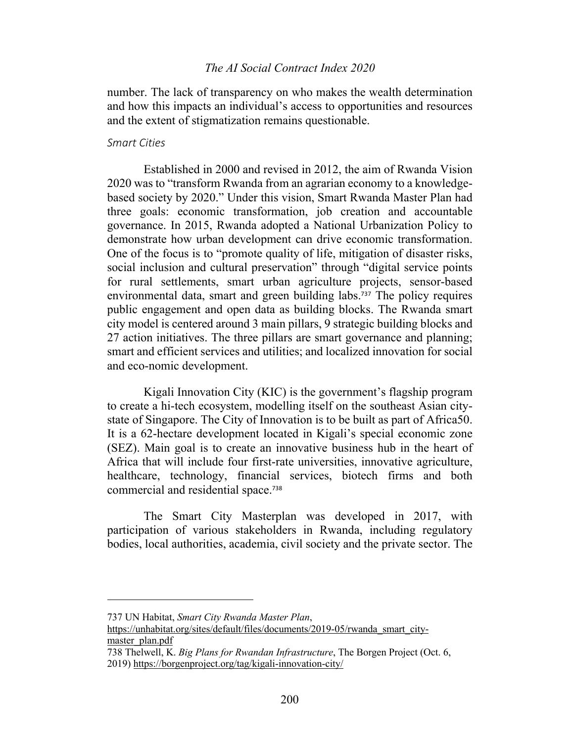## *The AI Social Contract Index 2020*

number. The lack of transparency on who makes the wealth determination and how this impacts an individual's access to opportunities and resources and the extent of stigmatization remains questionable.

#### *Smart Cities*

Established in 2000 and revised in 2012, the aim of Rwanda Vision 2020 was to "transform Rwanda from an agrarian economy to a knowledgebased society by 2020." Under this vision, Smart Rwanda Master Plan had three goals: economic transformation, job creation and accountable governance. In 2015, Rwanda adopted a National Urbanization Policy to demonstrate how urban development can drive economic transformation. One of the focus is to "promote quality of life, mitigation of disaster risks, social inclusion and cultural preservation" through "digital service points for rural settlements, smart urban agriculture projects, sensor-based environmental data, smart and green building labs.<sup>737</sup> The policy requires public engagement and open data as building blocks. The Rwanda smart city model is centered around 3 main pillars, 9 strategic building blocks and 27 action initiatives. The three pillars are smart governance and planning; smart and efficient services and utilities; and localized innovation for social and eco-nomic development.

Kigali Innovation City (KIC) is the government's flagship program to create a hi-tech ecosystem, modelling itself on the southeast Asian citystate of Singapore. The City of Innovation is to be built as part of Africa50. It is a 62-hectare development located in Kigali's special economic zone (SEZ). Main goal is to create an innovative business hub in the heart of Africa that will include four first-rate universities, innovative agriculture, healthcare, technology, financial services, biotech firms and both commercial and residential space.<sup>738</sup>

The Smart City Masterplan was developed in 2017, with participation of various stakeholders in Rwanda, including regulatory bodies, local authorities, academia, civil society and the private sector. The

<sup>737</sup> UN Habitat, *Smart City Rwanda Master Plan*,

https://unhabitat.org/sites/default/files/documents/2019-05/rwanda\_smart\_citymaster\_plan.pdf

<sup>738</sup> Thelwell, K. *Big Plans for Rwandan Infrastructure*, The Borgen Project (Oct. 6, 2019) https://borgenproject.org/tag/kigali-innovation-city/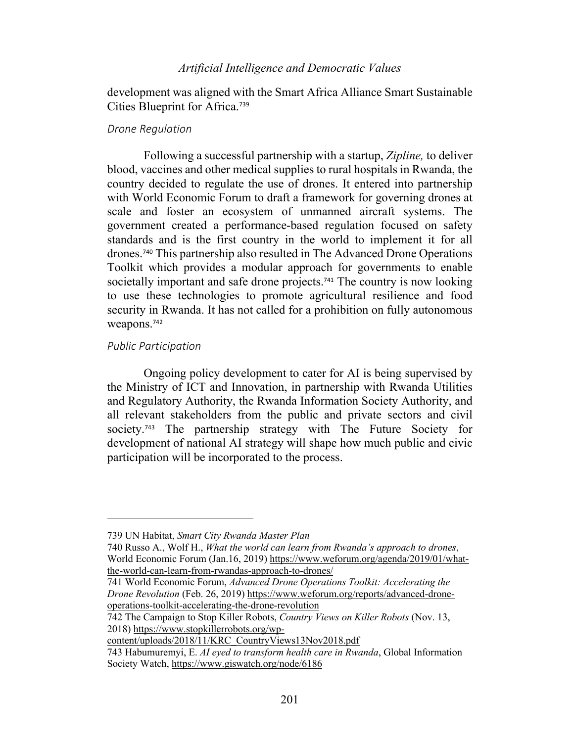# *Artificial Intelligence and Democratic Values*

development was aligned with the Smart Africa Alliance Smart Sustainable Cities Blueprint for Africa.<sup>739</sup>

### *Drone Regulation*

Following a successful partnership with a startup, *Zipline,* to deliver blood, vaccines and other medical supplies to rural hospitals in Rwanda, the country decided to regulate the use of drones. It entered into partnership with World Economic Forum to draft a framework for governing drones at scale and foster an ecosystem of unmanned aircraft systems. The government created a performance-based regulation focused on safety standards and is the first country in the world to implement it for all drones.<sup>740</sup> This partnership also resulted in The Advanced Drone Operations Toolkit which provides a modular approach for governments to enable societally important and safe drone projects.<sup>741</sup> The country is now looking to use these technologies to promote agricultural resilience and food security in Rwanda. It has not called for a prohibition on fully autonomous weapons. 742

### *Public Participation*

Ongoing policy development to cater for AI is being supervised by the Ministry of ICT and Innovation, in partnership with Rwanda Utilities and Regulatory Authority, the Rwanda Information Society Authority, and all relevant stakeholders from the public and private sectors and civil society.<sup>743</sup> The partnership strategy with The Future Society for development of national AI strategy will shape how much public and civic participation will be incorporated to the process.

<sup>739</sup> UN Habitat, *Smart City Rwanda Master Plan*

<sup>740</sup> Russo A., Wolf H., *What the world can learn from Rwanda's approach to drones*, World Economic Forum (Jan.16, 2019) https://www.weforum.org/agenda/2019/01/whatthe-world-can-learn-from-rwandas-approach-to-drones/

<sup>741</sup> World Economic Forum, *Advanced Drone Operations Toolkit: Accelerating the Drone Revolution* (Feb. 26, 2019) https://www.weforum.org/reports/advanced-droneoperations-toolkit-accelerating-the-drone-revolution

<sup>742</sup> The Campaign to Stop Killer Robots, *Country Views on Killer Robots* (Nov. 13, 2018) https://www.stopkillerrobots.org/wp-

content/uploads/2018/11/KRC\_CountryViews13Nov2018.pdf

<sup>743</sup> Habumuremyi, E. *AI eyed to transform health care in Rwanda*, Global Information Society Watch, https://www.giswatch.org/node/6186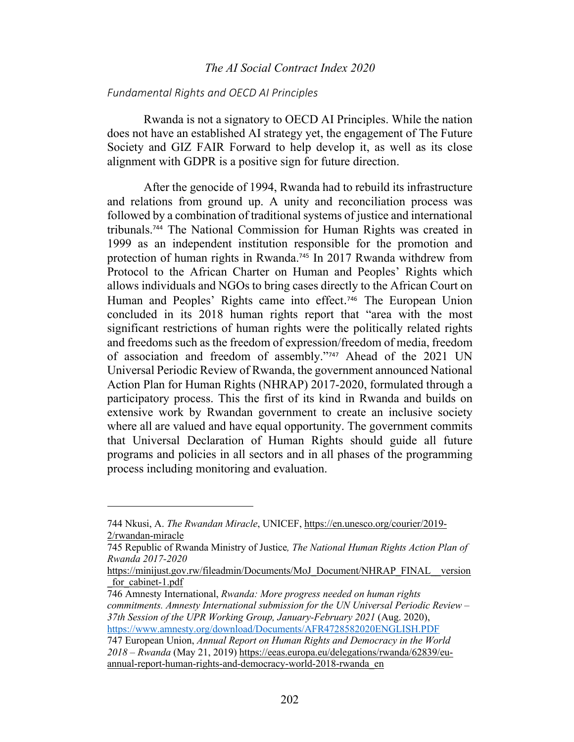## *The AI Social Contract Index 2020*

#### *Fundamental Rights and OECD AI Principles*

Rwanda is not a signatory to OECD AI Principles. While the nation does not have an established AI strategy yet, the engagement of The Future Society and GIZ FAIR Forward to help develop it, as well as its close alignment with GDPR is a positive sign for future direction.

After the genocide of 1994, Rwanda had to rebuild its infrastructure and relations from ground up. A unity and reconciliation process was followed by a combination of traditional systems of justice and international tribunals.<sup>744</sup> The National Commission for Human Rights was created in 1999 as an independent institution responsible for the promotion and protection of human rights in Rwanda.<sup>745</sup> In 2017 Rwanda withdrew from Protocol to the African Charter on Human and Peoples' Rights which allows individuals and NGOs to bring cases directly to the African Court on Human and Peoples' Rights came into effect.<sup>746</sup> The European Union concluded in its 2018 human rights report that "area with the most significant restrictions of human rights were the politically related rights and freedoms such as the freedom of expression/freedom of media, freedom of association and freedom of assembly."<sup>747</sup> Ahead of the 2021 UN Universal Periodic Review of Rwanda, the government announced National Action Plan for Human Rights (NHRAP) 2017-2020, formulated through a participatory process. This the first of its kind in Rwanda and builds on extensive work by Rwandan government to create an inclusive society where all are valued and have equal opportunity. The government commits that Universal Declaration of Human Rights should guide all future programs and policies in all sectors and in all phases of the programming process including monitoring and evaluation.

746 Amnesty International, *Rwanda: More progress needed on human rights commitments. Amnesty International submission for the UN Universal Periodic Review – 37th Session of the UPR Working Group, January-February 2021* (Aug. 2020), https://www.amnesty.org/download/Documents/AFR4728582020ENGLISH.PDF

<sup>744</sup> Nkusi, A. *The Rwandan Miracle*, UNICEF, https://en.unesco.org/courier/2019- 2/rwandan-miracle

<sup>745</sup> Republic of Rwanda Ministry of Justice*, The National Human Rights Action Plan of Rwanda 2017-2020*

https://minijust.gov.rw/fileadmin/Documents/MoJ\_Document/NHRAP\_FINAL\_\_version for cabinet-1.pdf

<sup>747</sup> European Union, *Annual Report on Human Rights and Democracy in the World 2018 – Rwanda* (May 21, 2019) https://eeas.europa.eu/delegations/rwanda/62839/euannual-report-human-rights-and-democracy-world-2018-rwanda\_en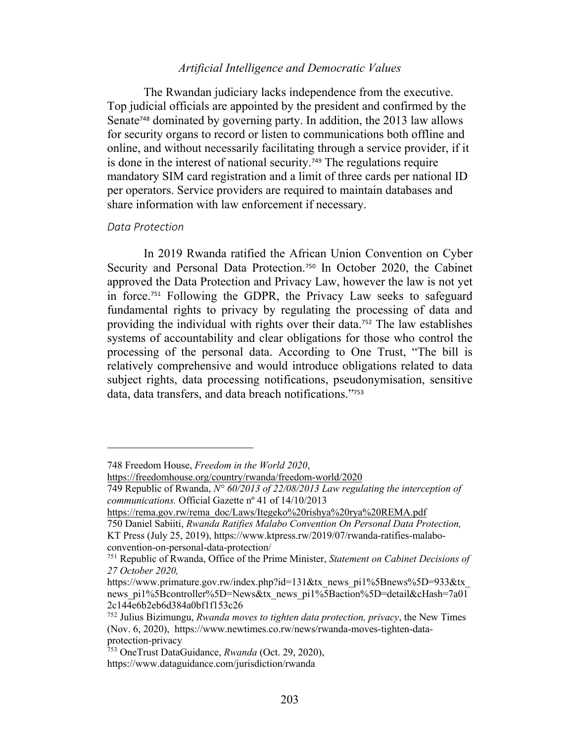# *Artificial Intelligence and Democratic Values*

The Rwandan judiciary lacks independence from the executive. Top judicial officials are appointed by the president and confirmed by the Senate<sup>748</sup> dominated by governing party. In addition, the 2013 law allows for security organs to record or listen to communications both offline and online, and without necessarily facilitating through a service provider, if it is done in the interest of national security.<sup>749</sup> The regulations require mandatory SIM card registration and a limit of three cards per national ID per operators. Service providers are required to maintain databases and share information with law enforcement if necessary.

### *Data Protection*

In 2019 Rwanda ratified the African Union Convention on Cyber Security and Personal Data Protection.<sup>750</sup> In October 2020, the Cabinet approved the Data Protection and Privacy Law, however the law is not yet in force.<sup>751</sup> Following the GDPR, the Privacy Law seeks to safeguard fundamental rights to privacy by regulating the processing of data and providing the individual with rights over their data.<sup>752</sup> The law establishes systems of accountability and clear obligations for those who control the processing of the personal data. According to One Trust, "The bill is relatively comprehensive and would introduce obligations related to data subject rights, data processing notifications, pseudonymisation, sensitive data, data transfers, and data breach notifications."<sup>753</sup>

<sup>748</sup> Freedom House, *Freedom in the World 2020*,

https://freedomhouse.org/country/rwanda/freedom-world/2020

<sup>749</sup> Republic of Rwanda, *N° 60/2013 of 22/08/2013 Law regulating the interception of communications.* Official Gazette nº 41 of 14/10/2013

https://rema.gov.rw/rema\_doc/Laws/Itegeko%20rishya%20rya%20REMA.pdf

<sup>750</sup> Daniel Sabiiti, *Rwanda Ratifies Malabo Convention On Personal Data Protection,* KT Press (July 25, 2019), https://www.ktpress.rw/2019/07/rwanda-ratifies-malaboconvention-on-personal-data-protection/

<sup>751</sup> Republic of Rwanda, Office of the Prime Minister, *Statement on Cabinet Decisions of 27 October 2020,* 

https://www.primature.gov.rw/index.php?id=131&tx\_news\_pi1%5Bnews%5D=933&tx\_ news\_pi1%5Bcontroller%5D=News&tx\_news\_pi1%5Baction%5D=detail&cHash=7a01 2c144e6b2eb6d384a0bf1f153c26

<sup>752</sup> Julius Bizimungu, *Rwanda moves to tighten data protection, privacy*, the New Times (Nov. 6, 2020), https://www.newtimes.co.rw/news/rwanda-moves-tighten-dataprotection-privacy

<sup>753</sup> OneTrust DataGuidance, *Rwanda* (Oct. 29, 2020),

https://www.dataguidance.com/jurisdiction/rwanda